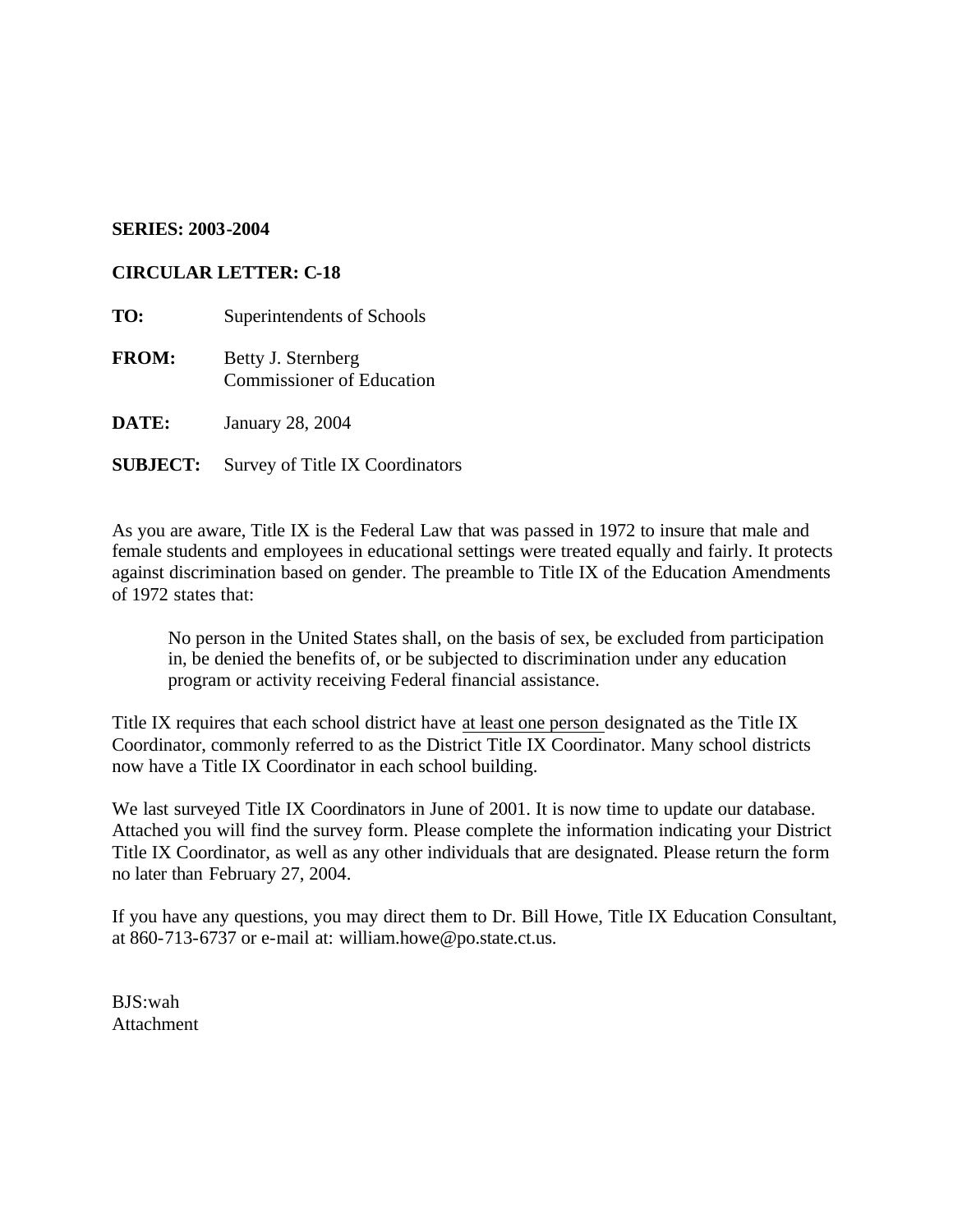## **SERIES: 2003-2004**

## **CIRCULAR LETTER: C-18**

- **TO:** Superintendents of Schools
- **FROM:** Betty J. Sternberg Commissioner of Education
- **DATE:** January 28, 2004
- **SUBJECT:** Survey of Title IX Coordinators

As you are aware, Title IX is the Federal Law that was passed in 1972 to insure that male and female students and employees in educational settings were treated equally and fairly. It protects against discrimination based on gender. The preamble to Title IX of the Education Amendments of 1972 states that:

No person in the United States shall, on the basis of sex, be excluded from participation in, be denied the benefits of, or be subjected to discrimination under any education program or activity receiving Federal financial assistance.

Title IX requires that each school district have at least one person designated as the Title IX Coordinator, commonly referred to as the District Title IX Coordinator. Many school districts now have a Title IX Coordinator in each school building.

We last surveyed Title IX Coordinators in June of 2001. It is now time to update our database. Attached you will find the survey form. Please complete the information indicating your District Title IX Coordinator, as well as any other individuals that are designated. Please return the form no later than February 27, 2004.

If you have any questions, you may direct them to Dr. Bill Howe, Title IX Education Consultant, at 860-713-6737 or e-mail at: william.howe@po.state.ct.us.

BJS:wah **Attachment**